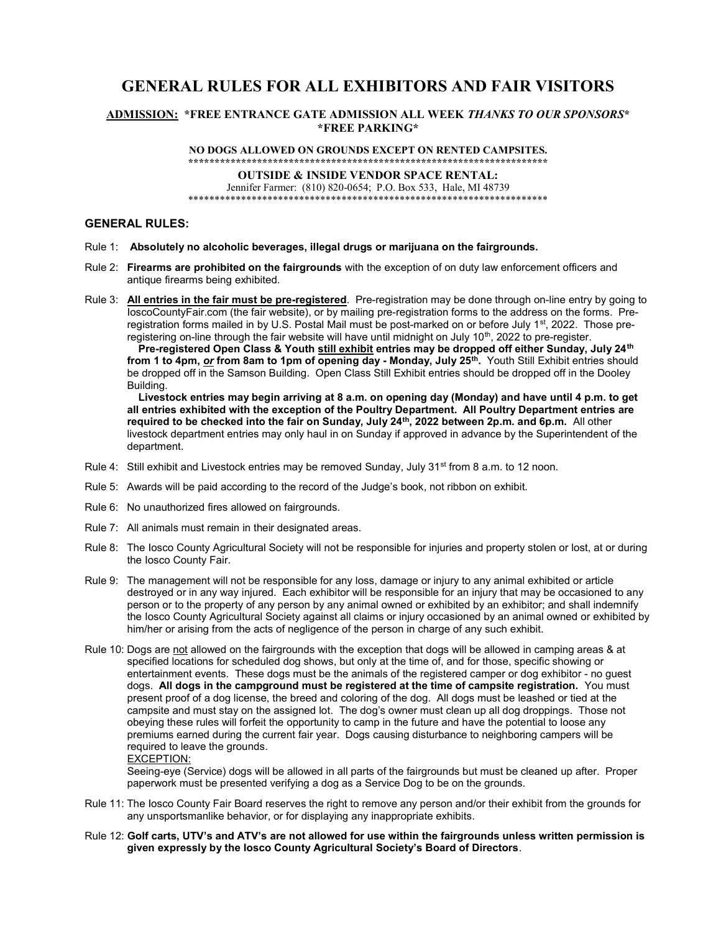# GENERAL RULES FOR ALL EXHIBITORS AND FAIR VISITORS

## ADMISSION: \*FREE ENTRANCE GATE ADMISSION ALL WEEK THANKS TO OUR SPONSORS\* \*FREE PARKING\*

NO DOGS ALLOWED ON GROUNDS EXCEPT ON RENTED CAMPSITES. \*\*\*\*\*\*\*\*\*\*\*\*\*\*\*\*\*\*\*\*\*\*\*\*\*\*\*\*\*\*\*\*\*\*\*\*\*\*\*\*\*\*\*\*\*\*\*\*\*\*\*\*\*\*\*\*\*\*\*\*\*\*\*\*\*\*\*\*

OUTSIDE & INSIDE VENDOR SPACE RENTAL:

Jennifer Farmer: (810) 820-0654; P.O. Box 533, Hale, MI 48739 \*\*\*\*\*\*\*\*\*\*\*\*\*\*\*\*\*\*\*\*\*\*\*\*\*\*\*\*\*\*\*\*\*\*\*\*\*\*\*\*\*\*\*\*\*\*\*\*\*\*\*\*\*\*\*\*\*\*\*\*\*\*\*\*\*\*\*\*

## GENERAL RULES:

- Rule 1: Absolutely no alcoholic beverages, illegal drugs or marijuana on the fairgrounds.
- Rule 2: Firearms are prohibited on the fairgrounds with the exception of on duty law enforcement officers and antique firearms being exhibited.
- Rule 3: All entries in the fair must be pre-registered. Pre-registration may be done through on-line entry by going to IoscoCountyFair.com (the fair website), or by mailing pre-registration forms to the address on the forms. Preregistration forms mailed in by U.S. Postal Mail must be post-marked on or before July 1<sup>st</sup>, 2022. Those preregistering on-line through the fair website will have until midnight on July 10<sup>th</sup>, 2022 to pre-register.

Pre-registered Open Class & Youth still exhibit entries may be dropped off either Sunday, July 24<sup>th</sup> **from 1 to 4pm, <u>or</u> from 8am to 1pm of opening day - Monday, July 25<sup>th</sup>. Youth Still Exhibit entries should** be dropped off in the Samson Building. Open Class Still Exhibit entries should be dropped off in the Dooley Building.

 Livestock entries may begin arriving at 8 a.m. on opening day (Monday) and have until 4 p.m. to get all entries exhibited with the exception of the Poultry Department. All Poultry Department entries are required to be checked into the fair on Sunday, July 24<sup>th</sup>, 2022 between 2p.m. and 6p.m. All other livestock department entries may only haul in on Sunday if approved in advance by the Superintendent of the department.

- Rule 4: Still exhibit and Livestock entries may be removed Sunday, July 31<sup>st</sup> from 8 a.m. to 12 noon.
- Rule 5: Awards will be paid according to the record of the Judge's book, not ribbon on exhibit.
- Rule 6: No unauthorized fires allowed on fairgrounds.
- Rule 7: All animals must remain in their designated areas.
- Rule 8: The Iosco County Agricultural Society will not be responsible for injuries and property stolen or lost, at or during the Iosco County Fair.
- Rule 9: The management will not be responsible for any loss, damage or injury to any animal exhibited or article destroyed or in any way injured. Each exhibitor will be responsible for an injury that may be occasioned to any person or to the property of any person by any animal owned or exhibited by an exhibitor; and shall indemnify the Iosco County Agricultural Society against all claims or injury occasioned by an animal owned or exhibited by him/her or arising from the acts of negligence of the person in charge of any such exhibit.
- Rule 10: Dogs are not allowed on the fairgrounds with the exception that dogs will be allowed in camping areas & at specified locations for scheduled dog shows, but only at the time of, and for those, specific showing or entertainment events. These dogs must be the animals of the registered camper or dog exhibitor - no guest dogs. All dogs in the campground must be registered at the time of campsite registration. You must present proof of a dog license, the breed and coloring of the dog. All dogs must be leashed or tied at the campsite and must stay on the assigned lot. The dog's owner must clean up all dog droppings. Those not obeying these rules will forfeit the opportunity to camp in the future and have the potential to loose any premiums earned during the current fair year. Dogs causing disturbance to neighboring campers will be required to leave the grounds.

EXCEPTION:

Seeing-eye (Service) dogs will be allowed in all parts of the fairgrounds but must be cleaned up after. Proper paperwork must be presented verifying a dog as a Service Dog to be on the grounds.

- Rule 11: The Iosco County Fair Board reserves the right to remove any person and/or their exhibit from the grounds for any unsportsmanlike behavior, or for displaying any inappropriate exhibits.
- Rule 12: Golf carts, UTV's and ATV's are not allowed for use within the fairgrounds unless written permission is given expressly by the Iosco County Agricultural Society's Board of Directors.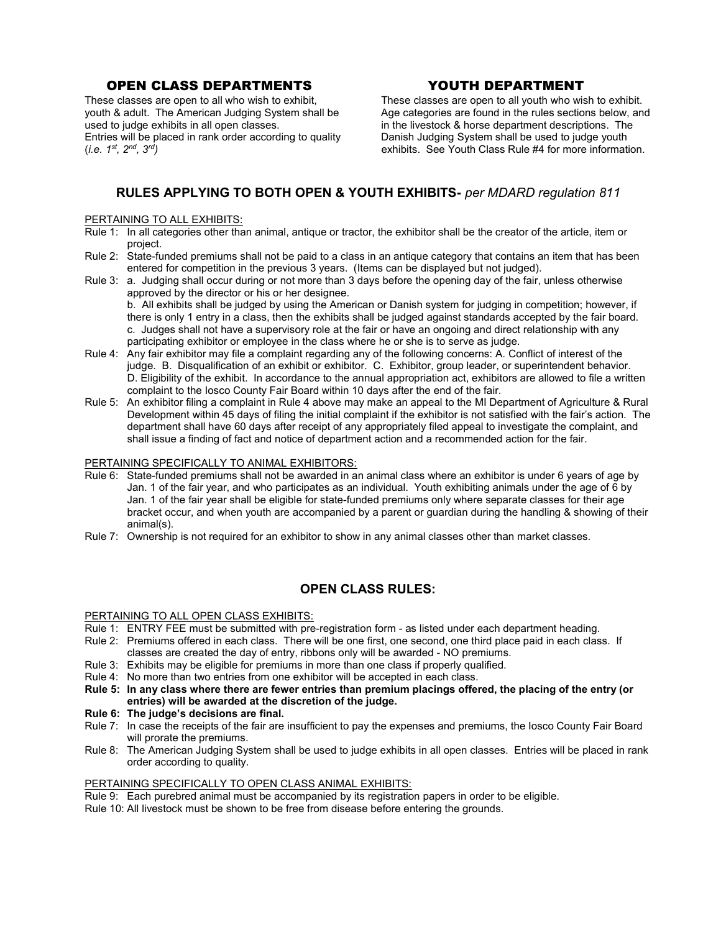# OPEN CLASS DEPARTMENTS YOUTH DEPARTMENT

youth & adult. The American Judging System shall be used to judge exhibits in all open classes.<br>
Entries will be placed in rank order according to quality **inter the Danish Judging System shall be** used to judge youth Entries will be placed in rank order according to quality (*i.e.*  $1^{st}$ ,  $2^{nd}$ ,  $3^{rd}$ )

These classes are open to all who wish to exhibit,<br>
vouth & adult. The American Judging System shall be <br>
Age categories are found in the rules sections below, and exhibits. See Youth Class Rule #4 for more information.

# RULES APPLYING TO BOTH OPEN & YOUTH EXHIBITS- per MDARD regulation 811

### PERTAINING TO ALL EXHIBITS:

- Rule 1: In all categories other than animal, antique or tractor, the exhibitor shall be the creator of the article, item or project.
- Rule 2: State-funded premiums shall not be paid to a class in an antique category that contains an item that has been entered for competition in the previous 3 years. (Items can be displayed but not judged).
- Rule 3: a. Judging shall occur during or not more than 3 days before the opening day of the fair, unless otherwise approved by the director or his or her designee.

b. All exhibits shall be judged by using the American or Danish system for judging in competition; however, if there is only 1 entry in a class, then the exhibits shall be judged against standards accepted by the fair board. c. Judges shall not have a supervisory role at the fair or have an ongoing and direct relationship with any participating exhibitor or employee in the class where he or she is to serve as judge.

- Rule 4: Any fair exhibitor may file a complaint regarding any of the following concerns: A. Conflict of interest of the judge. B. Disqualification of an exhibit or exhibitor. C. Exhibitor, group leader, or superintendent behavior. D. Eligibility of the exhibit. In accordance to the annual appropriation act, exhibitors are allowed to file a written complaint to the Iosco County Fair Board within 10 days after the end of the fair.
- Rule 5: An exhibitor filing a complaint in Rule 4 above may make an appeal to the MI Department of Agriculture & Rural Development within 45 days of filing the initial complaint if the exhibitor is not satisfied with the fair's action. The department shall have 60 days after receipt of any appropriately filed appeal to investigate the complaint, and shall issue a finding of fact and notice of department action and a recommended action for the fair.

## PERTAINING SPECIFICALLY TO ANIMAL EXHIBITORS:

- Rule 6: State-funded premiums shall not be awarded in an animal class where an exhibitor is under 6 years of age by Jan. 1 of the fair year, and who participates as an individual. Youth exhibiting animals under the age of 6 by Jan. 1 of the fair year shall be eligible for state-funded premiums only where separate classes for their age bracket occur, and when youth are accompanied by a parent or guardian during the handling & showing of their animal(s).
- Rule 7: Ownership is not required for an exhibitor to show in any animal classes other than market classes.

## OPEN CLASS RULES:

## PERTAINING TO ALL OPEN CLASS EXHIBITS:

- Rule 1: ENTRY FEE must be submitted with pre-registration form as listed under each department heading.
- Rule 2: Premiums offered in each class. There will be one first, one second, one third place paid in each class. If classes are created the day of entry, ribbons only will be awarded - NO premiums.
- Rule 3: Exhibits may be eligible for premiums in more than one class if properly qualified.
- Rule 4: No more than two entries from one exhibitor will be accepted in each class.
- Rule 5: In any class where there are fewer entries than premium placings offered, the placing of the entry (or entries) will be awarded at the discretion of the judge.
- Rule 6: The judge's decisions are final.
- Rule 7: In case the receipts of the fair are insufficient to pay the expenses and premiums, the Iosco County Fair Board will prorate the premiums.
- Rule 8: The American Judging System shall be used to judge exhibits in all open classes. Entries will be placed in rank order according to quality.

## PERTAINING SPECIFICALLY TO OPEN CLASS ANIMAL EXHIBITS:

- Rule 9: Each purebred animal must be accompanied by its registration papers in order to be eligible.
- Rule 10: All livestock must be shown to be free from disease before entering the grounds.